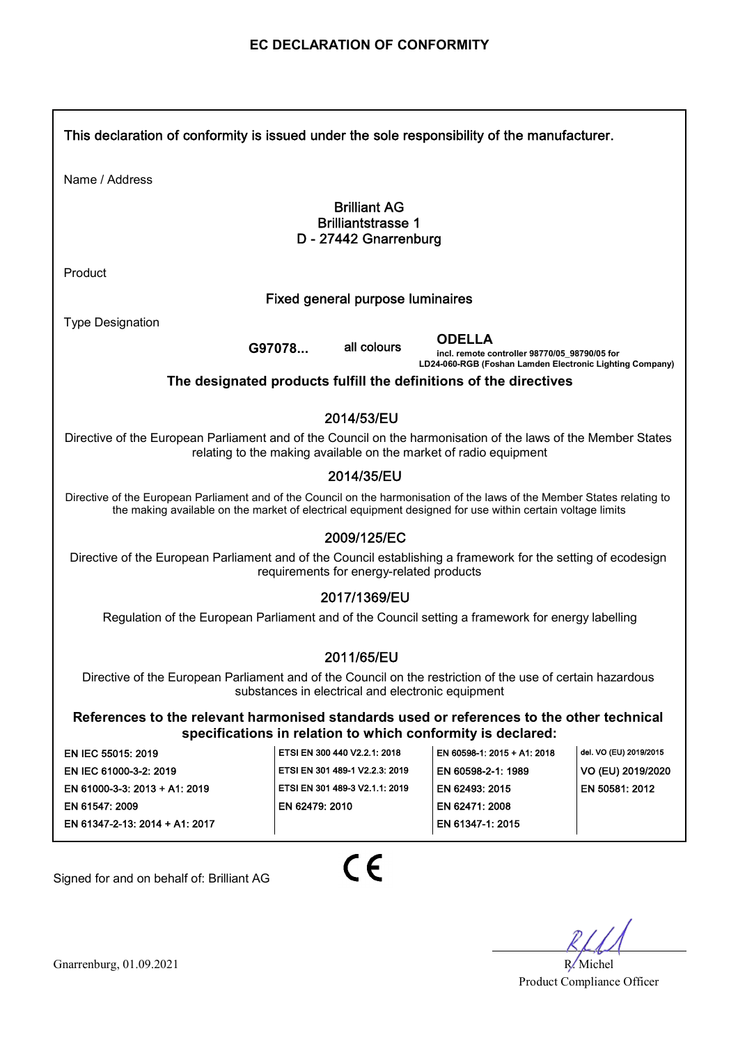This declaration of conformity is issued under the sole responsibility of the manufacturer.

Name / Address

#### Brilliant AG Brilliantstrasse 1 D - 27442 Gnarrenburg

Product

# Fixed general purpose luminaires

Type Designation

**G97078...**

all colours

**ODELLA incl. remote controller 98770/05\_98790/05 for LD24-060-RGB (Foshan Lamden Electronic Lighting Company)**

# **The designated products fulfill the definitions of the directives**

# 2014/53/EU

Directive of the European Parliament and of the Council on the harmonisation of the laws of the Member States relating to the making available on the market of radio equipment

# 2014/35/EU

Directive of the European Parliament and of the Council on the harmonisation of the laws of the Member States relating to the making available on the market of electrical equipment designed for use within certain voltage limits

#### 2009/125/EC

Directive of the European Parliament and of the Council establishing a framework for the setting of ecodesign requirements for energy-related products

# 2017/1369/EU

Regulation of the European Parliament and of the Council setting a framework for energy labelling

# 2011/65/EU

Directive of the European Parliament and of the Council on the restriction of the use of certain hazardous substances in electrical and electronic equipment

**References to the relevant harmonised standards used or references to the other technical specifications in relation to which conformity is declared:**

| <b>EN IEC 55015: 2019</b>      | ETSI EN 300 440 V2.2.1: 2018   | EN 60598-1: 2015 + A1: 2018 | del. VO (EU) 2019/2015 |
|--------------------------------|--------------------------------|-----------------------------|------------------------|
| EN IEC 61000-3-2: 2019         | ETSI EN 301 489-1 V2.2.3: 2019 | EN 60598-2-1: 1989          | VO (EU) 2019/2020      |
| EN 61000-3-3: 2013 + A1: 2019  | ETSI EN 301 489-3 V2.1.1: 2019 | EN 62493: 2015              | EN 50581: 2012         |
| EN 61547: 2009                 | EN 62479: 2010                 | EN 62471: 2008              |                        |
| EN 61347-2-13: 2014 + A1: 2017 |                                | EN 61347-1: 2015            |                        |

Signed for and on behalf of: Brilliant AG



Product Compliance Officer

Gnarrenburg, 01.09.2021 R./ Michel